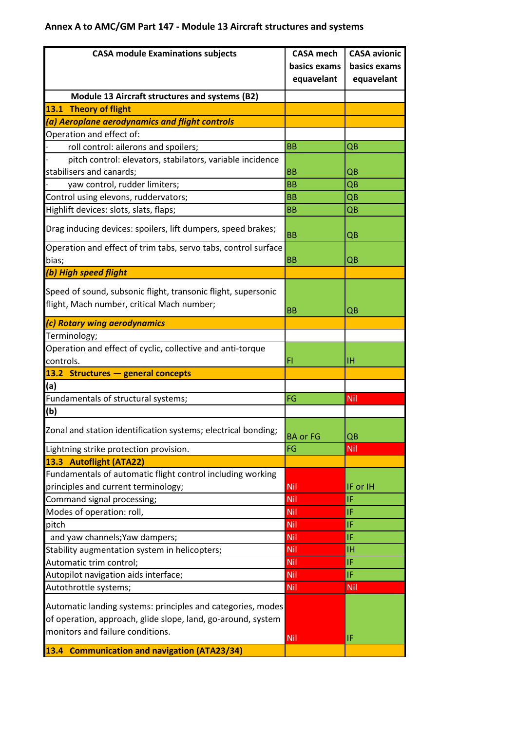## **Annex A to AMC/GM Part 147 - Module 13 Aircraft structures and systems**

| <b>CASA module Examinations subjects</b>                       | <b>CASA mech</b> | <b>CASA avionic</b> |
|----------------------------------------------------------------|------------------|---------------------|
|                                                                | basics exams     | basics exams        |
|                                                                | equavelant       | equavelant          |
| Module 13 Aircraft structures and systems (B2)                 |                  |                     |
| <b>Theory of flight</b><br>13.1                                |                  |                     |
| (a) Aeroplane aerodynamics and flight controls                 |                  |                     |
| Operation and effect of:                                       |                  |                     |
| roll control: ailerons and spoilers;                           | <b>BB</b>        | QB                  |
| pitch control: elevators, stabilators, variable incidence      |                  |                     |
| stabilisers and canards;                                       | <b>BB</b>        | QB                  |
| yaw control, rudder limiters;                                  | <b>BB</b>        | QB                  |
| Control using elevons, ruddervators;                           | <b>BB</b>        | QB                  |
| Highlift devices: slots, slats, flaps;                         | <b>BB</b>        | QB                  |
|                                                                |                  |                     |
| Drag inducing devices: spoilers, lift dumpers, speed brakes;   | <b>BB</b>        | QB                  |
| Operation and effect of trim tabs, servo tabs, control surface |                  |                     |
| bias;                                                          | <b>BB</b>        | QB                  |
| (b) High speed flight                                          |                  |                     |
| Speed of sound, subsonic flight, transonic flight, supersonic  |                  |                     |
| flight, Mach number, critical Mach number;                     |                  |                     |
|                                                                | <b>BB</b>        | QB                  |
| (c) Rotary wing aerodynamics                                   |                  |                     |
| Terminology;                                                   |                  |                     |
| Operation and effect of cyclic, collective and anti-torque     |                  |                     |
| controls.                                                      | FI               | ΙH                  |
| 13.2 Structures - general concepts                             |                  |                     |
| (a)                                                            |                  |                     |
| Fundamentals of structural systems;                            | FG               | Nil                 |
| (b)                                                            |                  |                     |
| Zonal and station identification systems; electrical bonding;  | <b>BA</b> or FG  | QB                  |
| Lightning strike protection provision.                         | FG               | Nil                 |
| 13.3 Autoflight (ATA22)                                        |                  |                     |
| Fundamentals of automatic flight control including working     |                  |                     |
| principles and current terminology;                            | Nil              | IF or IH            |
| Command signal processing;                                     | <b>Nil</b>       | IF                  |
| Modes of operation: roll,                                      | <b>Nil</b>       | IF                  |
| pitch                                                          | <b>Nil</b>       | IF                  |
| and yaw channels; Yaw dampers;                                 | <b>Nil</b>       | IF                  |
| Stability augmentation system in helicopters;                  | Nil              | ΙH                  |
| Automatic trim control;                                        | Nil              | IF                  |
| Autopilot navigation aids interface;                           | Nil              | IF                  |
|                                                                |                  | Nil                 |
| Autothrottle systems;                                          | <b>Nil</b>       |                     |
| Automatic landing systems: principles and categories, modes    |                  |                     |
| of operation, approach, glide slope, land, go-around, system   |                  |                     |
| monitors and failure conditions.                               | <b>Nil</b>       | IF                  |
| 13.4 Communication and navigation (ATA23/34)                   |                  |                     |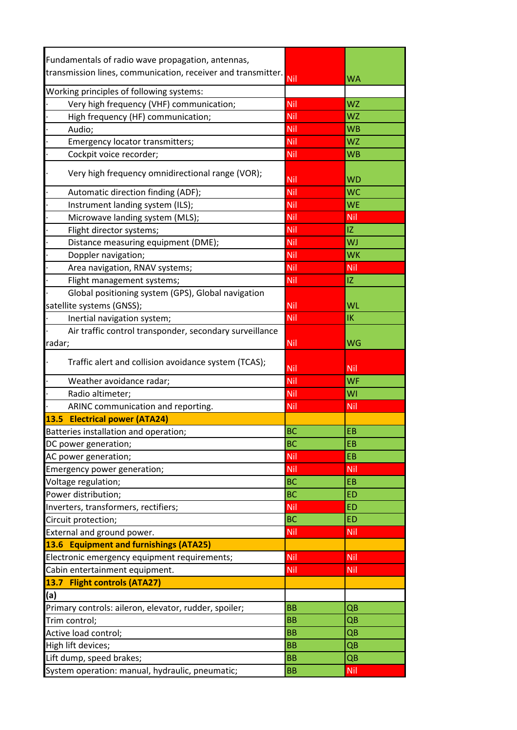| Fundamentals of radio wave propagation, antennas,            |           |            |  |
|--------------------------------------------------------------|-----------|------------|--|
| transmission lines, communication, receiver and transmitter. | Nil       | <b>WA</b>  |  |
| Working principles of following systems:                     |           |            |  |
| Very high frequency (VHF) communication;                     | Nil       | <b>WZ</b>  |  |
| High frequency (HF) communication;                           | Nil       | <b>WZ</b>  |  |
| Audio;                                                       | Nil       | <b>WB</b>  |  |
| Emergency locator transmitters;                              | Nil       | <b>WZ</b>  |  |
| Cockpit voice recorder;                                      | Nil       | <b>WB</b>  |  |
|                                                              |           |            |  |
| Very high frequency omnidirectional range (VOR);             | Nil       | <b>WD</b>  |  |
| Automatic direction finding (ADF);                           | Nil       | <b>WC</b>  |  |
| Instrument landing system (ILS);                             | Nil       | <b>WE</b>  |  |
| Microwave landing system (MLS);                              | Nil       | Nil        |  |
| Flight director systems;                                     | Nil       | IZ         |  |
| Distance measuring equipment (DME);                          | Nil       | WJ         |  |
| Doppler navigation;                                          | Nil       | <b>WK</b>  |  |
| Area navigation, RNAV systems;                               | Nil       | Nil        |  |
| Flight management systems;                                   | Nil       | IZ         |  |
| Global positioning system (GPS), Global navigation           |           |            |  |
| satellite systems (GNSS);                                    | Nil       | WL         |  |
| Inertial navigation system;                                  | Nil       | IK         |  |
| Air traffic control transponder, secondary surveillance      |           |            |  |
| radar;                                                       | Nil       | WG         |  |
|                                                              |           |            |  |
| Traffic alert and collision avoidance system (TCAS);         | Nil       | Nil        |  |
| Weather avoidance radar;                                     | Nil       | <b>WF</b>  |  |
| Radio altimeter;                                             | Nil       | WI         |  |
| ARINC communication and reporting.                           | Nil       | Nil        |  |
| 13.5 Electrical power (ATA24)                                |           |            |  |
| Batteries installation and operation;                        | <b>BC</b> | EB         |  |
| DC power generation;                                         | <b>BC</b> | EB         |  |
| AC power generation;                                         | Nil       | EB         |  |
| Emergency power generation;                                  | Nil       | Nil        |  |
| Voltage regulation;                                          | <b>BC</b> | EB         |  |
| Power distribution;                                          | <b>BC</b> | <b>ED</b>  |  |
| Inverters, transformers, rectifiers;                         | Nil       | ED         |  |
| Circuit protection;                                          | <b>BC</b> | <b>ED</b>  |  |
| External and ground power.                                   | Nil       | Nil        |  |
| 13.6 Equipment and furnishings (ATA25)                       |           |            |  |
| Electronic emergency equipment requirements;                 | Nil       | Nil        |  |
| Cabin entertainment equipment.                               | Nil       | Nil        |  |
| 13.7 Flight controls (ATA27)                                 |           |            |  |
| (a)                                                          |           |            |  |
| Primary controls: aileron, elevator, rudder, spoiler;        | <b>BB</b> | QB         |  |
| Trim control;                                                | <b>BB</b> | QB         |  |
| Active load control;                                         | <b>BB</b> | QB         |  |
| High lift devices;                                           | <b>BB</b> | QB         |  |
| Lift dump, speed brakes;                                     | <b>BB</b> | QB         |  |
| System operation: manual, hydraulic, pneumatic;              | <b>BB</b> | <b>Nil</b> |  |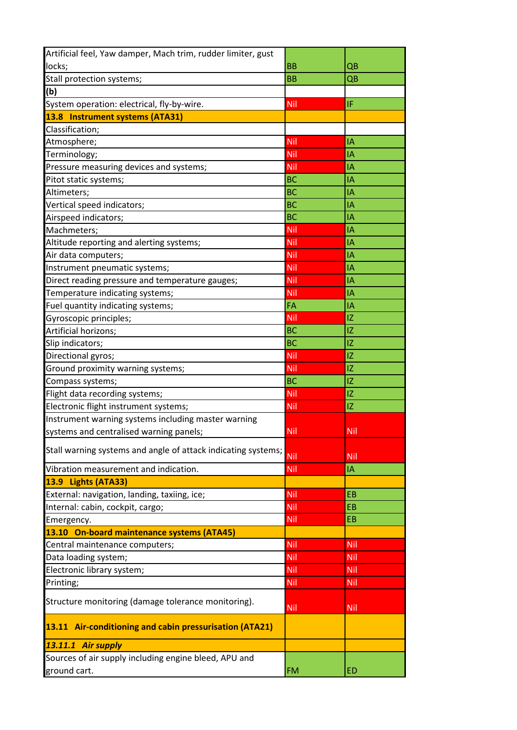| Artificial feel, Yaw damper, Mach trim, rudder limiter, gust  |            |     |
|---------------------------------------------------------------|------------|-----|
| locks;                                                        | <b>BB</b>  | QB  |
| Stall protection systems;                                     | <b>BB</b>  | QB  |
| (b)                                                           |            |     |
| System operation: electrical, fly-by-wire.                    | Nil        | IF  |
| 13.8 Instrument systems (ATA31)                               |            |     |
| Classification;                                               |            |     |
| Atmosphere;                                                   | Nil        | IΑ  |
| Terminology;                                                  | Nil        | IA  |
| Pressure measuring devices and systems;                       | Nil        | I٨  |
| Pitot static systems;                                         | <b>BC</b>  | IA  |
| Altimeters;                                                   | <b>BC</b>  | IΑ  |
| Vertical speed indicators;                                    | <b>BC</b>  | IA  |
| Airspeed indicators;                                          | <b>BC</b>  | IΑ  |
| Machmeters;                                                   | Nil        | IA  |
| Altitude reporting and alerting systems;                      | Nil        | IA  |
| Air data computers;                                           | Nil        | IA  |
| Instrument pneumatic systems;                                 | Nil        | IA  |
| Direct reading pressure and temperature gauges;               | <b>Nil</b> | IA  |
| Temperature indicating systems;                               | <b>Nil</b> | IA  |
| Fuel quantity indicating systems;                             | FA         | ΙA  |
| Gyroscopic principles;                                        | <b>Nil</b> | IZ  |
| Artificial horizons;                                          | <b>BC</b>  | IZ  |
| Slip indicators;                                              | <b>BC</b>  | IZ  |
| Directional gyros;                                            | <b>Nil</b> | IZ  |
| Ground proximity warning systems;                             | <b>Nil</b> | IZ  |
| Compass systems;                                              | <b>BC</b>  | IZ  |
| Flight data recording systems;                                | Nil        | IZ  |
| Electronic flight instrument systems;                         | Nil        | IZ  |
| Instrument warning systems including master warning           |            |     |
| systems and centralised warning panels;                       | <b>Nil</b> | Nil |
| Stall warning systems and angle of attack indicating systems; | Nil        | Nil |
| Vibration measurement and indication.                         | <b>Nil</b> | IΑ  |
| 13.9 Lights (ATA33)                                           |            |     |
| External: navigation, landing, taxiing, ice;                  | <b>Nil</b> | EB  |
| Internal: cabin, cockpit, cargo;                              | Nil        | EB  |
| Emergency.                                                    | Nil        | EB  |
| 13.10 On-board maintenance systems (ATA45)                    |            |     |
| Central maintenance computers;                                | Nil        | Nil |
| Data loading system;                                          | <b>Nil</b> | Nil |
| Electronic library system;                                    | <b>Nil</b> | Nil |
| Printing;                                                     | <b>Nil</b> | Nil |
| Structure monitoring (damage tolerance monitoring).           | Nil        | Nil |
| 13.11 Air-conditioning and cabin pressurisation (ATA21)       |            |     |
| 13.11.1 Air supply                                            |            |     |
| Sources of air supply including engine bleed, APU and         |            |     |
| ground cart.                                                  | <b>FM</b>  | ED  |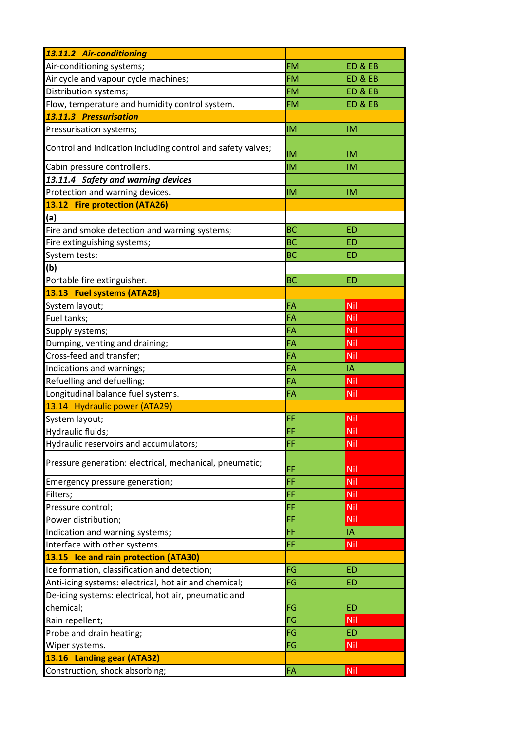| 13.11.2 Air-conditioning                                    |           |           |
|-------------------------------------------------------------|-----------|-----------|
| Air-conditioning systems;                                   | <b>FM</b> | ED & EB   |
| Air cycle and vapour cycle machines;                        | <b>FM</b> | ED & EB   |
| Distribution systems;                                       | <b>FM</b> | ED & EB   |
| Flow, temperature and humidity control system.              | <b>FM</b> | ED&EB     |
| 13.11.3 Pressurisation                                      |           |           |
| Pressurisation systems;                                     | <b>IM</b> | <b>IM</b> |
| Control and indication including control and safety valves; | <b>IM</b> | IM        |
| Cabin pressure controllers.                                 | IM        | <b>IM</b> |
| 13.11.4 Safety and warning devices                          |           |           |
| Protection and warning devices.                             | <b>IM</b> | IM        |
| 13.12 Fire protection (ATA26)                               |           |           |
| (a)                                                         |           |           |
| Fire and smoke detection and warning systems;               | <b>BC</b> | <b>ED</b> |
| Fire extinguishing systems;                                 | <b>BC</b> | <b>ED</b> |
| System tests;                                               | <b>BC</b> | <b>ED</b> |
| (b)                                                         |           |           |
| Portable fire extinguisher.                                 | <b>BC</b> | <b>ED</b> |
| 13.13 Fuel systems (ATA28)                                  |           |           |
| System layout;                                              | FA        | Nil       |
| Fuel tanks;                                                 | FA        | Nil       |
| Supply systems;                                             | FA        | Nil       |
| Dumping, venting and draining;                              | FA        | Nil       |
| Cross-feed and transfer;                                    | FA        | Nil       |
| Indications and warnings;                                   | FA        | IA        |
| Refuelling and defuelling;                                  | FA        | Nil       |
| Longitudinal balance fuel systems.                          | FA        | Nil       |
| 13.14 Hydraulic power (ATA29)                               |           |           |
| System layout;                                              | FF        | Nil       |
| Hydraulic fluids;                                           | FF        | Nil       |
| Hydraulic reservoirs and accumulators;                      | FF        | Nil       |
| Pressure generation: electrical, mechanical, pneumatic;     | FF        | Nil       |
| Emergency pressure generation;                              | FF        | Nil       |
| Filters;                                                    | FF        | Nil       |
| Pressure control;                                           | FF        | Nil       |
| Power distribution;                                         | FF        | Nil       |
| Indication and warning systems;                             | FF        | IA        |
| Interface with other systems.                               | FF        | Nil       |
| 13.15 Ice and rain protection (ATA30)                       |           |           |
| Ice formation, classification and detection;                | FG        | <b>ED</b> |
| Anti-icing systems: electrical, hot air and chemical;       | FG        | <b>ED</b> |
| De-icing systems: electrical, hot air, pneumatic and        |           |           |
| chemical;                                                   | FG        | <b>ED</b> |
| Rain repellent;                                             | FG        | Nil       |
| Probe and drain heating;                                    | FG        | <b>ED</b> |
| Wiper systems.                                              | FG        | Nil       |
| 13.16 Landing gear (ATA32)                                  |           |           |
| Construction, shock absorbing;                              | FA        | Nil       |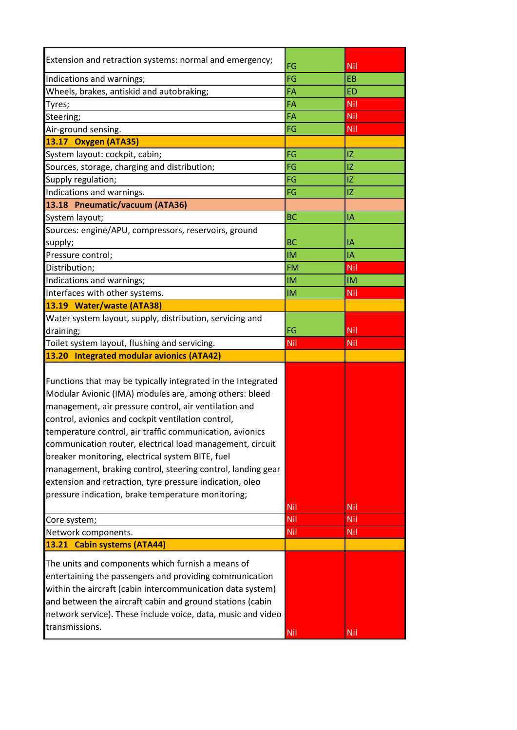| Extension and retraction systems: normal and emergency;                                                                                                                                                                                                                                                                                                                                                                                                                                                                                                                                                                                    | FG                | Nil               |
|--------------------------------------------------------------------------------------------------------------------------------------------------------------------------------------------------------------------------------------------------------------------------------------------------------------------------------------------------------------------------------------------------------------------------------------------------------------------------------------------------------------------------------------------------------------------------------------------------------------------------------------------|-------------------|-------------------|
| Indications and warnings;                                                                                                                                                                                                                                                                                                                                                                                                                                                                                                                                                                                                                  | FG                | <b>EB</b>         |
| Wheels, brakes, antiskid and autobraking;                                                                                                                                                                                                                                                                                                                                                                                                                                                                                                                                                                                                  | FA                | <b>ED</b>         |
| Tyres;                                                                                                                                                                                                                                                                                                                                                                                                                                                                                                                                                                                                                                     | FA                | Nil               |
| Steering;                                                                                                                                                                                                                                                                                                                                                                                                                                                                                                                                                                                                                                  | FA                | Nil               |
| Air-ground sensing.                                                                                                                                                                                                                                                                                                                                                                                                                                                                                                                                                                                                                        | FG                | Nil               |
| 13.17 Oxygen (ATA35)                                                                                                                                                                                                                                                                                                                                                                                                                                                                                                                                                                                                                       |                   |                   |
| System layout: cockpit, cabin;                                                                                                                                                                                                                                                                                                                                                                                                                                                                                                                                                                                                             | FG                | IZ                |
| Sources, storage, charging and distribution;                                                                                                                                                                                                                                                                                                                                                                                                                                                                                                                                                                                               | FG                | IZ                |
| Supply regulation;                                                                                                                                                                                                                                                                                                                                                                                                                                                                                                                                                                                                                         | FG                | IZ                |
| Indications and warnings.                                                                                                                                                                                                                                                                                                                                                                                                                                                                                                                                                                                                                  | FG                | IZ                |
| 13.18 Pneumatic/vacuum (ATA36)                                                                                                                                                                                                                                                                                                                                                                                                                                                                                                                                                                                                             |                   |                   |
| System layout;                                                                                                                                                                                                                                                                                                                                                                                                                                                                                                                                                                                                                             | <b>BC</b>         | IA                |
| Sources: engine/APU, compressors, reservoirs, ground                                                                                                                                                                                                                                                                                                                                                                                                                                                                                                                                                                                       |                   |                   |
| supply;                                                                                                                                                                                                                                                                                                                                                                                                                                                                                                                                                                                                                                    | <b>BC</b>         | I٨                |
| Pressure control;                                                                                                                                                                                                                                                                                                                                                                                                                                                                                                                                                                                                                          | <b>IM</b>         | IΑ                |
| Distribution;                                                                                                                                                                                                                                                                                                                                                                                                                                                                                                                                                                                                                              | <b>FM</b>         | Nil               |
| Indications and warnings;                                                                                                                                                                                                                                                                                                                                                                                                                                                                                                                                                                                                                  | <b>IM</b>         | <b>IM</b>         |
| Interfaces with other systems.                                                                                                                                                                                                                                                                                                                                                                                                                                                                                                                                                                                                             | <b>IM</b>         | Nil               |
| 13.19 Water/waste (ATA38)                                                                                                                                                                                                                                                                                                                                                                                                                                                                                                                                                                                                                  |                   |                   |
| Water system layout, supply, distribution, servicing and                                                                                                                                                                                                                                                                                                                                                                                                                                                                                                                                                                                   |                   |                   |
| draining;                                                                                                                                                                                                                                                                                                                                                                                                                                                                                                                                                                                                                                  | FG                | Nil               |
| Toilet system layout, flushing and servicing.                                                                                                                                                                                                                                                                                                                                                                                                                                                                                                                                                                                              | Nil               | Nil               |
| 13.20 Integrated modular avionics (ATA42)                                                                                                                                                                                                                                                                                                                                                                                                                                                                                                                                                                                                  |                   |                   |
| Functions that may be typically integrated in the Integrated<br>Modular Avionic (IMA) modules are, among others: bleed<br>management, air pressure control, air ventilation and<br>control, avionics and cockpit ventilation control,<br>temperature control, air traffic communication, avionics<br>communication router, electrical load management, circuit<br>breaker monitoring, electrical system BITE, fuel<br>management, braking control, steering control, landing gear<br>extension and retraction, tyre pressure indication, oleo<br>pressure indication, brake temperature monitoring;<br>Core system;<br>Network components. | Nil<br>Nil<br>Nil | Nil<br>Nil<br>Nil |
| 13.21 Cabin systems (ATA44)                                                                                                                                                                                                                                                                                                                                                                                                                                                                                                                                                                                                                |                   |                   |
| The units and components which furnish a means of<br>entertaining the passengers and providing communication<br>within the aircraft (cabin intercommunication data system)<br>and between the aircraft cabin and ground stations (cabin<br>network service). These include voice, data, music and video<br>transmissions.                                                                                                                                                                                                                                                                                                                  | Nil               | <b>Nil</b>        |
|                                                                                                                                                                                                                                                                                                                                                                                                                                                                                                                                                                                                                                            |                   |                   |